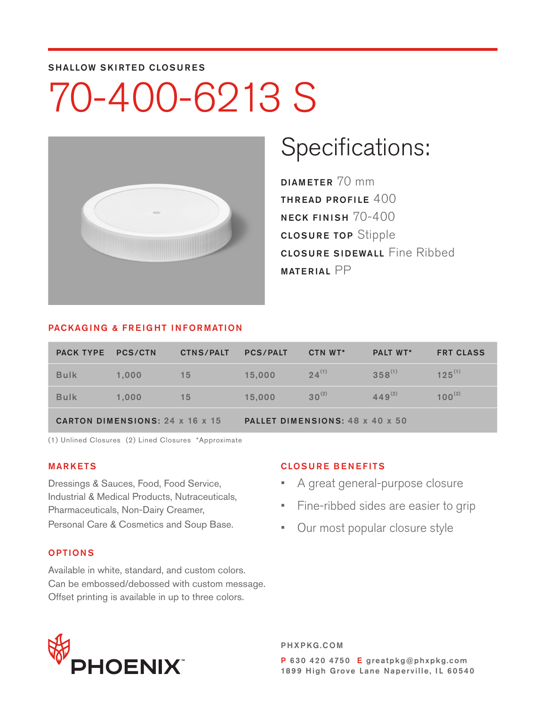#### SHALLOW SKIRTED CLOSURES

# 70-400-6213 S



### Specifications:

DIAMETER 70 mm THREAD PROFILE 400 NECK FINISH 70-400 CLOSURE TOP Stipple **CLOSURE SIDEWALL Fine Ribbed** MATERIAL PP

#### PACKAGING & FREIGHT INFORMATION

| <b>PACK TYPE PCS/CTN</b>               |       | <b>CTNS/PALT</b> | <b>PCS/PALT</b>                 | CTN WT*    | <b>PALT WT*</b> | <b>FRT CLASS</b> |  |
|----------------------------------------|-------|------------------|---------------------------------|------------|-----------------|------------------|--|
| <b>Bulk</b>                            | 1.000 | 15               | 15,000                          | $24^{(1)}$ | $358^{(1)}$     | $125^{(1)}$      |  |
| <b>Bulk</b>                            | 1.000 | 15               | 15,000                          | $30^{(2)}$ | $449^{(2)}$     | $100^{(2)}$      |  |
| <b>CARTON DIMENSIONS: 24 x 16 x 15</b> |       |                  | PALLET DIMENSIONS: 48 x 40 x 50 |            |                 |                  |  |

(1) Unlined Closures (2) Lined Closures \*Approximate

#### MARKETS

Dressings & Sauces, Food, Food Service, Industrial & Medical Products, Nutraceuticals, Pharmaceuticals, Non-Dairy Creamer, Personal Care & Cosmetics and Soup Base.

#### OPTIONS

Available in white, standard, and custom colors. Can be embossed/debossed with custom message. Offset printing is available in up to three colors.

#### CLOSURE BENEFITS

- A great general-purpose closure
- Fine-ribbed sides are easier to grip
- Our most popular closure style



PHXPKG.COM P 630 420 4750 E greatpkg@phxpkg.com 1899 High Grove Lane Naperville, IL 60540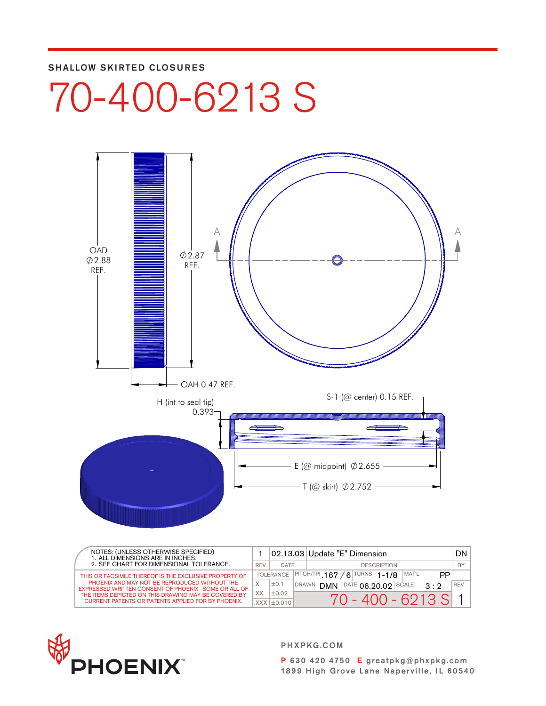#### SHALLOW SKIRTED CLOSURES

## 70-400-6213 S



| NOTES: (UNLESS OTHERWISE SPECIFIED)<br>1. ALL DIMENSIONS ARE IN INCHES.<br>2. SEE CHART FOR DIMENSIONAL TOLERANCE. |     |                   |                                                 | 02.13.03 Update "E" Dimension                            | DN I             |
|--------------------------------------------------------------------------------------------------------------------|-----|-------------------|-------------------------------------------------|----------------------------------------------------------|------------------|
|                                                                                                                    |     | DATE              | <b>DESCRIPTION</b>                              |                                                          | <b>BY</b>        |
| THIS OR FACSIMILE THEREOF IS THE EXCLUSIVE PROPERTY OF                                                             |     | <b>TOLERANCE</b>  | $6$ TURNS 1-1/8<br>MAT'L<br>PITCH/TPI 167<br>РP |                                                          |                  |
| PHOENIX AND MAY NOT BE REPRODUCED WITHOUT THE<br>EXPRESSED WRITTEN CONSENT OF PHOENIX. SOME OR ALL OF              |     | ±0.1              | <b>DRAWN</b>                                    | $DATAE$ 06 20 02 SCALE<br><b>DMN</b><br>$\Omega \cdot Q$ | <sup>1</sup> REV |
| THE ITEMS DEPICTED ON THIS DRAWING MAY BE COVERED BY                                                               | XX. | ±0.02             |                                                 | $70 - 400 - 6213$ SL                                     |                  |
| <b>CURRENT PATENTS OR PATENTS APPLIED FOR BY PHOENIX.</b>                                                          |     | $XXX$ $\pm$ 0.010 |                                                 |                                                          |                  |



PHXPKG.COM

P 630 420 4750 E greatpkg@phxpkg.com 1899 High Grove Lane Naperville, IL 60540